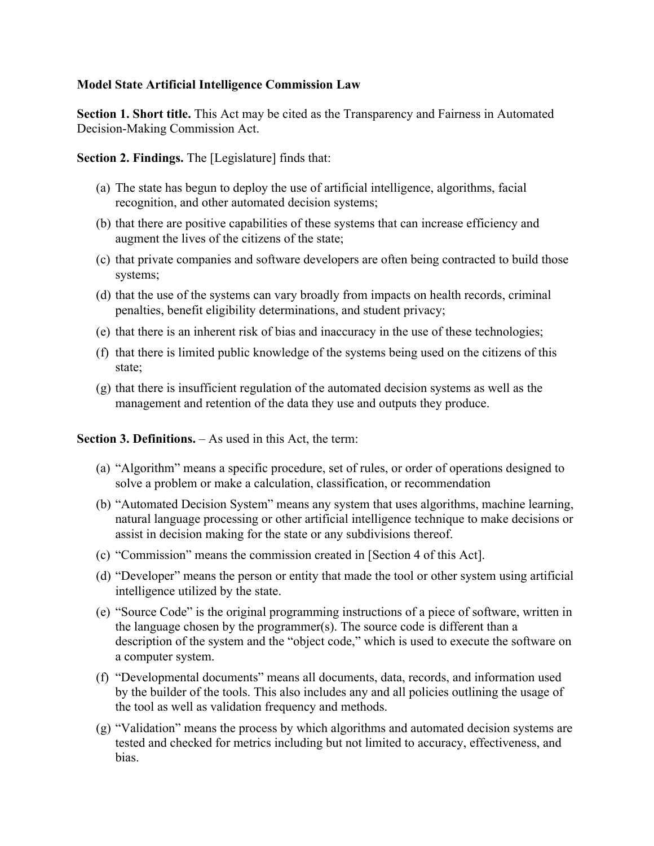## **Model State Artificial Intelligence Commission Law**

**Section 1. Short title.** This Act may be cited as the Transparency and Fairness in Automated Decision-Making Commission Act.

**Section 2. Findings.** The [Legislature] finds that:

- (a) The state has begun to deploy the use of artificial intelligence, algorithms, facial recognition, and other automated decision systems;
- (b) that there are positive capabilities of these systems that can increase efficiency and augment the lives of the citizens of the state;
- (c) that private companies and software developers are often being contracted to build those systems;
- (d) that the use of the systems can vary broadly from impacts on health records, criminal penalties, benefit eligibility determinations, and student privacy;
- (e) that there is an inherent risk of bias and inaccuracy in the use of these technologies;
- (f) that there is limited public knowledge of the systems being used on the citizens of this state;
- (g) that there is insufficient regulation of the automated decision systems as well as the management and retention of the data they use and outputs they produce.

## **Section 3. Definitions.** – As used in this Act, the term:

- (a) "Algorithm" means a specific procedure, set of rules, or order of operations designed to solve a problem or make a calculation, classification, or recommendation
- (b) "Automated Decision System" means any system that uses algorithms, machine learning, natural language processing or other artificial intelligence technique to make decisions or assist in decision making for the state or any subdivisions thereof.
- (c) "Commission" means the commission created in [Section 4 of this Act].
- (d) "Developer" means the person or entity that made the tool or other system using artificial intelligence utilized by the state.
- (e) "Source Code" is the original programming instructions of a piece of software, written in the language chosen by the programmer(s). The source code is different than a description of the system and the "object code," which is used to execute the software on a computer system.
- (f) "Developmental documents" means all documents, data, records, and information used by the builder of the tools. This also includes any and all policies outlining the usage of the tool as well as validation frequency and methods.
- (g) "Validation" means the process by which algorithms and automated decision systems are tested and checked for metrics including but not limited to accuracy, effectiveness, and bias.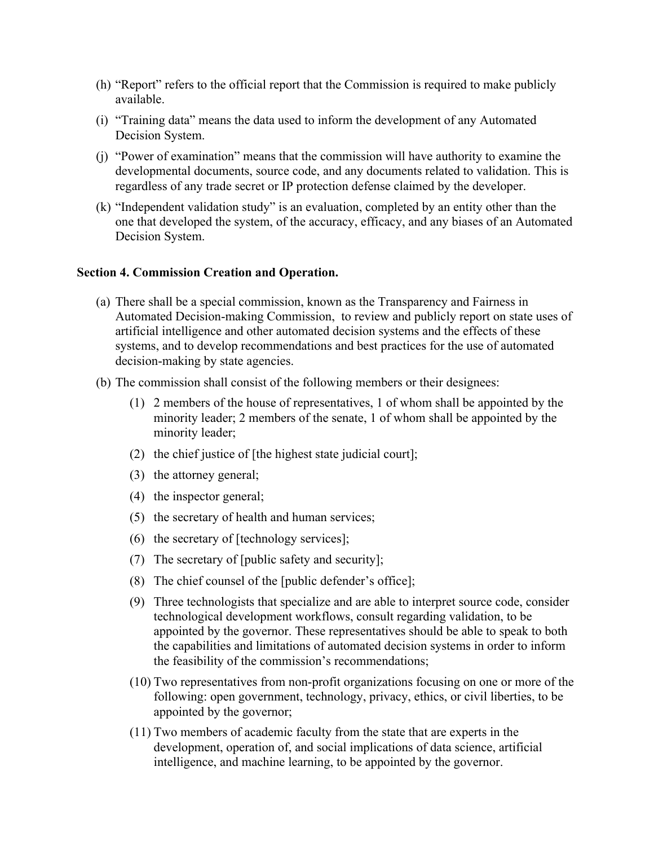- (h) "Report" refers to the official report that the Commission is required to make publicly available.
- (i) "Training data" means the data used to inform the development of any Automated Decision System.
- (j) "Power of examination" means that the commission will have authority to examine the developmental documents, source code, and any documents related to validation. This is regardless of any trade secret or IP protection defense claimed by the developer.
- (k) "Independent validation study" is an evaluation, completed by an entity other than the one that developed the system, of the accuracy, efficacy, and any biases of an Automated Decision System.

## **Section 4. Commission Creation and Operation.**

- (a) There shall be a special commission, known as the Transparency and Fairness in Automated Decision-making Commission, to review and publicly report on state uses of artificial intelligence and other automated decision systems and the effects of these systems, and to develop recommendations and best practices for the use of automated decision-making by state agencies.
- (b) The commission shall consist of the following members or their designees:
	- (1) 2 members of the house of representatives, 1 of whom shall be appointed by the minority leader; 2 members of the senate, 1 of whom shall be appointed by the minority leader;
	- (2) the chief justice of [the highest state judicial court];
	- (3) the attorney general;
	- (4) the inspector general;
	- (5) the secretary of health and human services;
	- (6) the secretary of [technology services];
	- (7) The secretary of [public safety and security];
	- (8) The chief counsel of the [public defender's office];
	- (9) Three technologists that specialize and are able to interpret source code, consider technological development workflows, consult regarding validation, to be appointed by the governor. These representatives should be able to speak to both the capabilities and limitations of automated decision systems in order to inform the feasibility of the commission's recommendations;
	- (10) Two representatives from non-profit organizations focusing on one or more of the following: open government, technology, privacy, ethics, or civil liberties, to be appointed by the governor;
	- (11) Two members of academic faculty from the state that are experts in the development, operation of, and social implications of data science, artificial intelligence, and machine learning, to be appointed by the governor.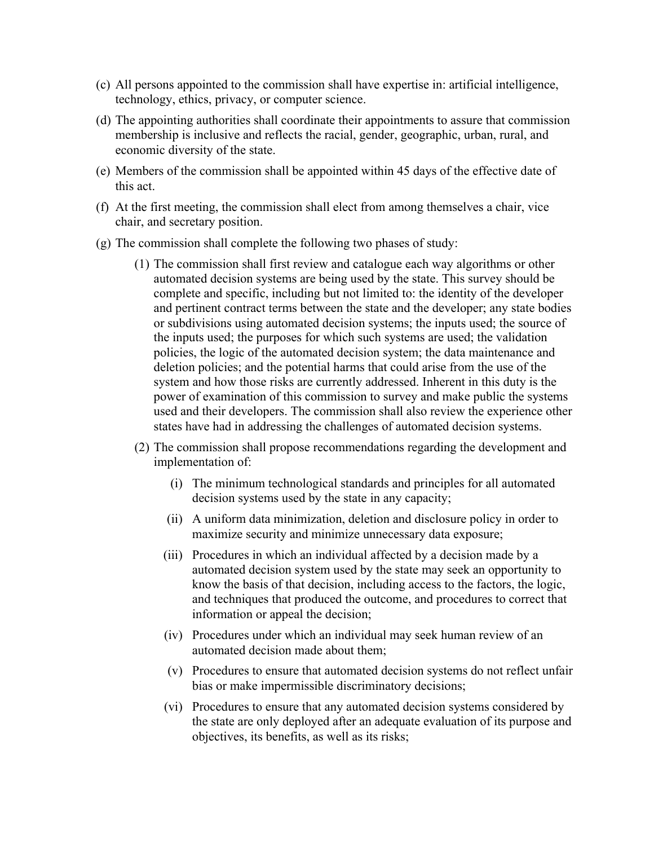- (c) All persons appointed to the commission shall have expertise in: artificial intelligence, technology, ethics, privacy, or computer science.
- (d) The appointing authorities shall coordinate their appointments to assure that commission membership is inclusive and reflects the racial, gender, geographic, urban, rural, and economic diversity of the state.
- (e) Members of the commission shall be appointed within 45 days of the effective date of this act.
- (f) At the first meeting, the commission shall elect from among themselves a chair, vice chair, and secretary position.
- (g) The commission shall complete the following two phases of study:
	- (1) The commission shall first review and catalogue each way algorithms or other automated decision systems are being used by the state. This survey should be complete and specific, including but not limited to: the identity of the developer and pertinent contract terms between the state and the developer; any state bodies or subdivisions using automated decision systems; the inputs used; the source of the inputs used; the purposes for which such systems are used; the validation policies, the logic of the automated decision system; the data maintenance and deletion policies; and the potential harms that could arise from the use of the system and how those risks are currently addressed. Inherent in this duty is the power of examination of this commission to survey and make public the systems used and their developers. The commission shall also review the experience other states have had in addressing the challenges of automated decision systems.
	- (2) The commission shall propose recommendations regarding the development and implementation of:
		- (i) The minimum technological standards and principles for all automated decision systems used by the state in any capacity;
		- (ii) A uniform data minimization, deletion and disclosure policy in order to maximize security and minimize unnecessary data exposure;
		- (iii) Procedures in which an individual affected by a decision made by a automated decision system used by the state may seek an opportunity to know the basis of that decision, including access to the factors, the logic, and techniques that produced the outcome, and procedures to correct that information or appeal the decision;
		- (iv) Procedures under which an individual may seek human review of an automated decision made about them;
		- (v) Procedures to ensure that automated decision systems do not reflect unfair bias or make impermissible discriminatory decisions;
		- (vi) Procedures to ensure that any automated decision systems considered by the state are only deployed after an adequate evaluation of its purpose and objectives, its benefits, as well as its risks;